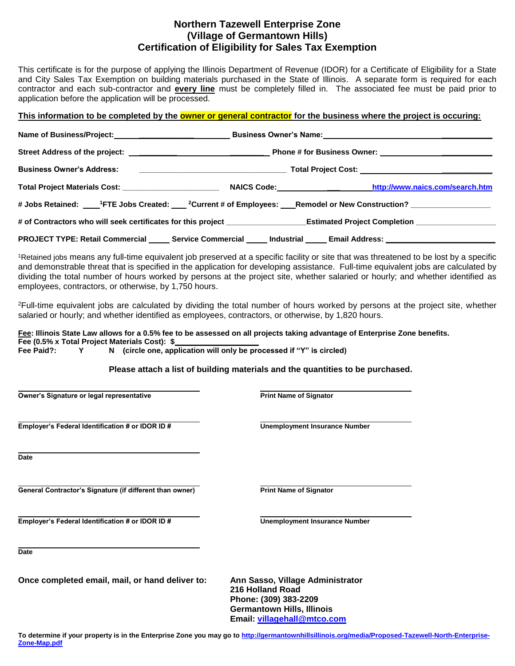## **Northern Tazewell Enterprise Zone (Village of Germantown Hills) Certification of Eligibility for Sales Tax Exemption**

This certificate is for the purpose of applying the Illinois Department of Revenue (IDOR) for a Certificate of Eligibility for a State and City Sales Tax Exemption on building materials purchased in the State of Illinois. A separate form is required for each contractor and each sub-contractor and **every line** must be completely filled in. The associated fee must be paid prior to application before the application will be processed.

## This information to be completed by the **owner or general contractor** for the business where the project is occuring:

|                                                                                                                     |  | Name of Business/Project:___________________________________Business Owner's Name:____________________________                                   |  |  |
|---------------------------------------------------------------------------------------------------------------------|--|--------------------------------------------------------------------------------------------------------------------------------------------------|--|--|
|                                                                                                                     |  |                                                                                                                                                  |  |  |
|                                                                                                                     |  |                                                                                                                                                  |  |  |
|                                                                                                                     |  |                                                                                                                                                  |  |  |
|                                                                                                                     |  | # Jobs Retained: ____ <sup>1</sup> FTE Jobs Created: ____ <sup>2</sup> Current # of Employees: ___Remodel or New Construction? _________________ |  |  |
|                                                                                                                     |  | # of Contractors who will seek certificates for this project ___________________Estimated Project Completion _______________                     |  |  |
| PROJECT TYPE: Retail Commercial ______ Service Commercial ______ Industrial _____ Email Address: __________________ |  |                                                                                                                                                  |  |  |

<sup>1</sup>Retained jobs means any full-time equivalent job preserved at a specific facility or site that was threatened to be lost by a specific and demonstrable threat that is specified in the application for developing assistance. Full-time equivalent jobs are calculated by dividing the total number of hours worked by persons at the project site, whether salaried or hourly; and whether identified as employees, contractors, or otherwise, by 1,750 hours.

<sup>2</sup>Full-time equivalent jobs are calculated by dividing the total number of hours worked by persons at the project site, whether salaried or hourly; and whether identified as employees, contractors, or otherwise, by 1,820 hours.

## **Fee: Illinois State Law allows for a 0.5% fee to be assessed on all projects taking advantage of Enterprise Zone benefits. Fee (0.5% x Total Project Materials Cost): \$\_\_\_\_\_\_\_\_\_\_\_\_\_\_\_\_\_\_\_\_**

**Fee Paid?: Y N (circle one, application will only be processed if "Y" is circled)**

## **Please attach a list of building materials and the quantities to be purchased.**

| Owner's Signature or legal representative                | <b>Print Name of Signator</b>                                                                                      |  |  |
|----------------------------------------------------------|--------------------------------------------------------------------------------------------------------------------|--|--|
| Employer's Federal Identification # or IDOR ID #         | <b>Unemployment Insurance Number</b>                                                                               |  |  |
| <b>Date</b>                                              |                                                                                                                    |  |  |
| General Contractor's Signature (if different than owner) | <b>Print Name of Signator</b>                                                                                      |  |  |
| Employer's Federal Identification # or IDOR ID #         | <b>Unemployment Insurance Number</b>                                                                               |  |  |
| <b>Date</b>                                              |                                                                                                                    |  |  |
| Once completed email, mail, or hand deliver to:          | Ann Sasso, Village Administrator<br>216 Holland Road<br>Phone: (309) 383-2209<br><b>Germantown Hills, Illinois</b> |  |  |

**Email: [villagehall@mtco.com](mailto:villagehall@mtco.com)**